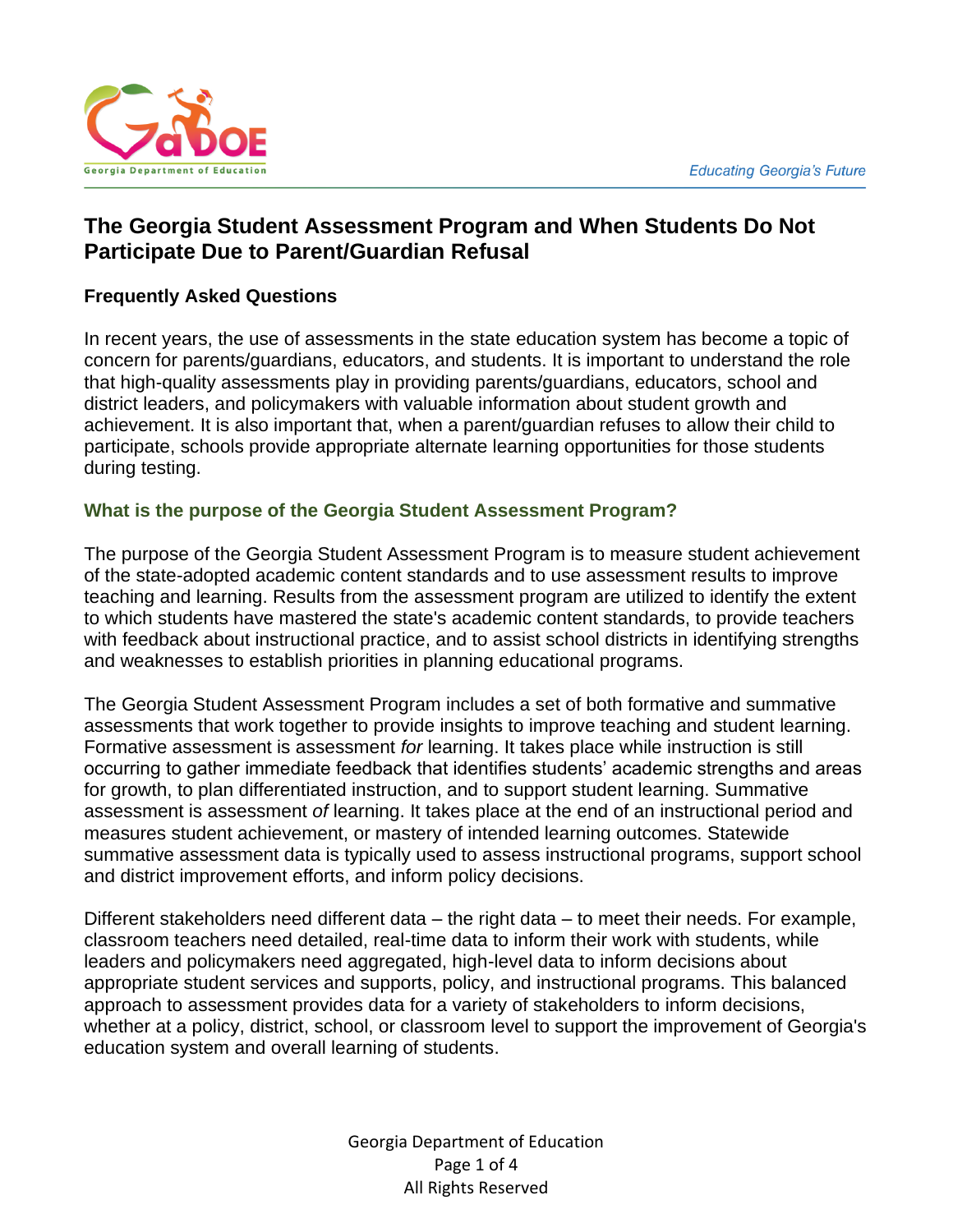

# **The Georgia Student Assessment Program and When Students Do Not Participate Due to Parent/Guardian Refusal**

## **Frequently Asked Questions**

In recent years, the use of assessments in the state education system has become a topic of concern for parents/guardians, educators, and students. It is important to understand the role that high-quality assessments play in providing parents/guardians, educators, school and district leaders, and policymakers with valuable information about student growth and achievement. It is also important that, when a parent/guardian refuses to allow their child to participate, schools provide appropriate alternate learning opportunities for those students during testing.

#### **What is the purpose of the Georgia Student Assessment Program?**

The purpose of the Georgia Student Assessment Program is to measure student achievement of the state-adopted academic content standards and to use assessment results to improve teaching and learning. Results from the assessment program are utilized to identify the extent to which students have mastered the state's academic content standards, to provide teachers with feedback about instructional practice, and to assist school districts in identifying strengths and weaknesses to establish priorities in planning educational programs.

The Georgia Student Assessment Program includes a set of both formative and summative assessments that work together to provide insights to improve teaching and student learning. Formative assessment is assessment *for* learning. It takes place while instruction is still occurring to gather immediate feedback that identifies students' academic strengths and areas for growth, to plan differentiated instruction, and to support student learning. Summative assessment is assessment *of* learning. It takes place at the end of an instructional period and measures student achievement, or mastery of intended learning outcomes. Statewide summative assessment data is typically used to assess instructional programs, support school and district improvement efforts, and inform policy decisions.

Different stakeholders need different data – the right data – to meet their needs. For example, classroom teachers need detailed, real-time data to inform their work with students, while leaders and policymakers need aggregated, high-level data to inform decisions about appropriate student services and supports, policy, and instructional programs. This balanced approach to assessment provides data for a variety of stakeholders to inform decisions, whether at a policy, district, school, or classroom level to support the improvement of Georgia's education system and overall learning of students.

> Georgia Department of Education Page 1 of 4 All Rights Reserved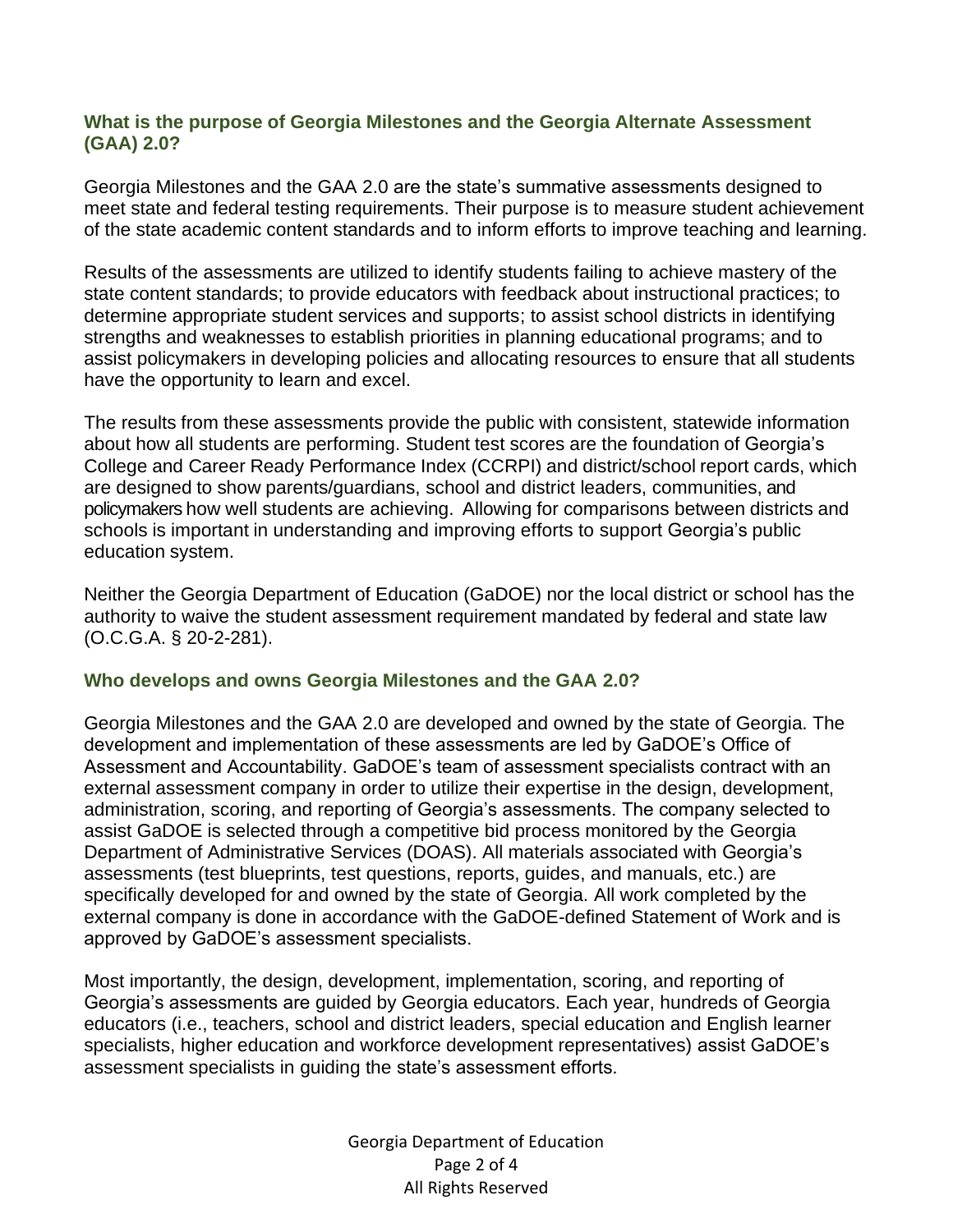### **What is the purpose of Georgia Milestones and the Georgia Alternate Assessment (GAA) 2.0?**

Georgia Milestones and the GAA 2.0 are the state's summative assessments designed to meet state and federal testing requirements. Their purpose is to measure student achievement of the state academic content standards and to inform efforts to improve teaching and learning.

Results of the assessments are utilized to identify students failing to achieve mastery of the state content standards; to provide educators with feedback about instructional practices; to determine appropriate student services and supports; to assist school districts in identifying strengths and weaknesses to establish priorities in planning educational programs; and to assist policymakers in developing policies and allocating resources to ensure that all students have the opportunity to learn and excel.

The results from these assessments provide the public with consistent, statewide information about how all students are performing. Student test scores are the foundation of Georgia's College and Career Ready Performance Index (CCRPI) and district/school report cards, which are designed to show parents/guardians, school and district leaders, communities, and policymakers how well students are achieving. Allowing for comparisons between districts and schools is important in understanding and improving efforts to support Georgia's public education system.

Neither the Georgia Department of Education (GaDOE) nor the local district or school has the authority to waive the student assessment requirement mandated by federal and state law (O.C.G.A. § 20-2-281).

#### **Who develops and owns Georgia Milestones and the GAA 2.0?**

Georgia Milestones and the GAA 2.0 are developed and owned by the state of Georgia. The development and implementation of these assessments are led by GaDOE's Office of Assessment and Accountability. GaDOE's team of assessment specialists contract with an external assessment company in order to utilize their expertise in the design, development, administration, scoring, and reporting of Georgia's assessments. The company selected to assist GaDOE is selected through a competitive bid process monitored by the Georgia Department of Administrative Services (DOAS). All materials associated with Georgia's assessments (test blueprints, test questions, reports, guides, and manuals, etc.) are specifically developed for and owned by the state of Georgia. All work completed by the external company is done in accordance with the GaDOE-defined Statement of Work and is approved by GaDOE's assessment specialists.

Most importantly, the design, development, implementation, scoring, and reporting of Georgia's assessments are guided by Georgia educators. Each year, hundreds of Georgia educators (i.e., teachers, school and district leaders, special education and English learner specialists, higher education and workforce development representatives) assist GaDOE's assessment specialists in guiding the state's assessment efforts.

> Georgia Department of Education Page 2 of 4 All Rights Reserved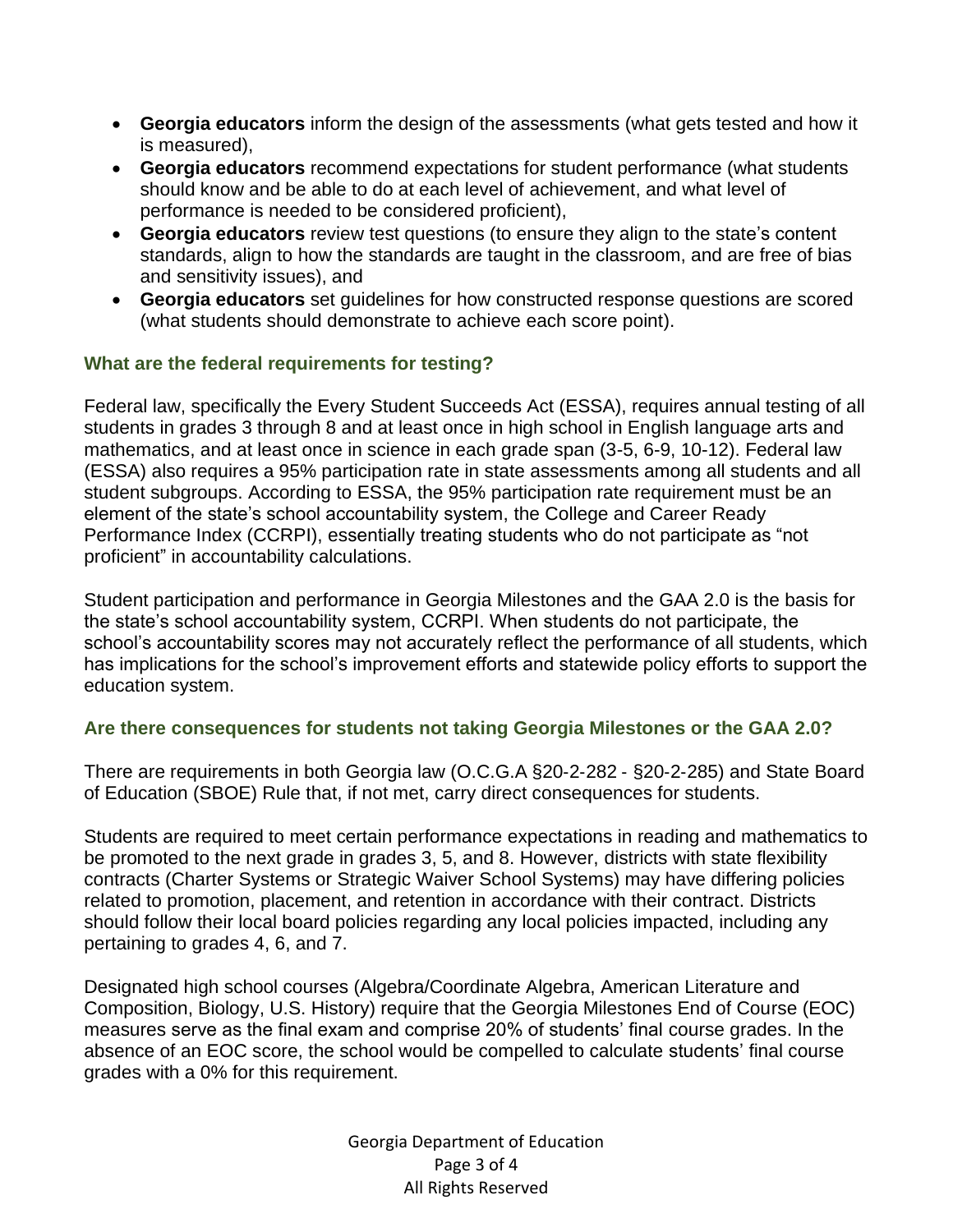- **Georgia educators** inform the design of the assessments (what gets tested and how it is measured),
- **Georgia educators** recommend expectations for student performance (what students should know and be able to do at each level of achievement, and what level of performance is needed to be considered proficient),
- **Georgia educators** review test questions (to ensure they align to the state's content standards, align to how the standards are taught in the classroom, and are free of bias and sensitivity issues), and
- **Georgia educators** set guidelines for how constructed response questions are scored (what students should demonstrate to achieve each score point).

# **What are the federal requirements for testing?**

Federal law, specifically the Every Student Succeeds Act (ESSA), requires annual testing of all students in grades 3 through 8 and at least once in high school in English language arts and mathematics, and at least once in science in each grade span (3-5, 6-9, 10-12). Federal law (ESSA) also requires a 95% participation rate in state assessments among all students and all student subgroups. According to ESSA, the 95% participation rate requirement must be an element of the state's school accountability system, the College and Career Ready Performance Index (CCRPI), essentially treating students who do not participate as "not proficient" in accountability calculations.

Student participation and performance in Georgia Milestones and the GAA 2.0 is the basis for the state's school accountability system, CCRPI. When students do not participate, the school's accountability scores may not accurately reflect the performance of all students, which has implications for the school's improvement efforts and statewide policy efforts to support the education system.

# **Are there consequences for students not taking Georgia Milestones or the GAA 2.0?**

There are requirements in both Georgia law (O.C.G.A §20‐2‐282 ‐ §20‐2‐285) and State Board of Education (SBOE) Rule that, if not met, carry direct consequences for students.

Students are required to meet certain performance expectations in reading and mathematics to be promoted to the next grade in grades 3, 5, and 8. However, districts with state flexibility contracts (Charter Systems or Strategic Waiver School Systems) may have differing policies related to promotion, placement, and retention in accordance with their contract. Districts should follow their local board policies regarding any local policies impacted, including any pertaining to grades 4, 6, and 7.

Designated high school courses (Algebra/Coordinate Algebra, American Literature and Composition, Biology, U.S. History) require that the Georgia Milestones End of Course (EOC) measures serve as the final exam and comprise 20% of students' final course grades. In the absence of an EOC score, the school would be compelled to calculate students' final course grades with a 0% for this requirement.

> Georgia Department of Education Page 3 of 4 All Rights Reserved